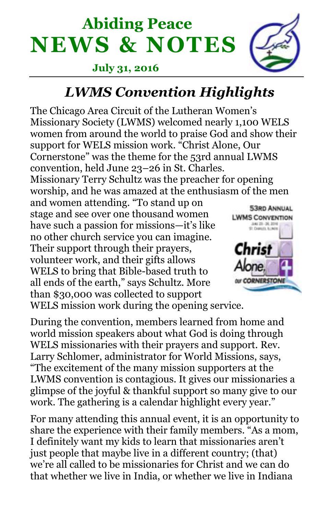# **Abiding Peace NEWS & NOTES**

#### **July 31, 2016**



## *LWMS Convention Highlights*

The Chicago Area Circuit of the Lutheran Women's Missionary Society (LWMS) welcomed nearly 1,100 WELS women from around the world to praise God and show their support for WELS mission work. "Christ Alone, Our Cornerstone" was the theme for the 53rd annual LWMS convention, held June 23–26 in St. Charles. Missionary Terry Schultz was the preacher for opening worship, and he was amazed at the enthusiasm of the men

and women attending. "To stand up on stage and see over one thousand women have such a passion for missions—it's like no other church service you can imagine. Their support through their prayers, volunteer work, and their gifts allows WELS to bring that Bible-based truth to all ends of the earth," says Schultz. More than \$30,000 was collected to support WELS mission work during the opening service.



During the convention, members learned from home and world mission speakers about what God is doing through WELS missionaries with their prayers and support. Rev. Larry Schlomer, administrator for World Missions, says, "The excitement of the many mission supporters at the LWMS convention is contagious. It gives our missionaries a glimpse of the joyful & thankful support so many give to our work. The gathering is a calendar highlight every year."

For many attending this annual event, it is an opportunity to share the experience with their family members. "As a mom, I definitely want my kids to learn that missionaries aren't just people that maybe live in a different country; (that) we're all called to be missionaries for Christ and we can do that whether we live in India, or whether we live in Indiana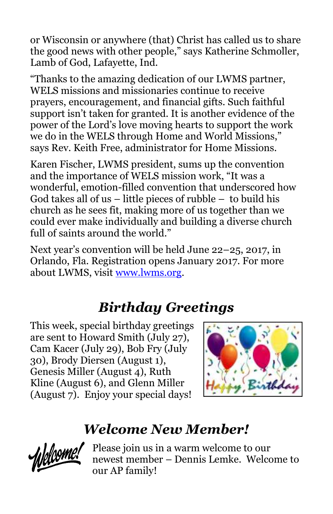or Wisconsin or anywhere (that) Christ has called us to share the good news with other people," says Katherine Schmoller, Lamb of God, Lafayette, Ind.

"Thanks to the amazing dedication of our LWMS partner, WELS missions and missionaries continue to receive prayers, encouragement, and financial gifts. Such faithful support isn't taken for granted. It is another evidence of the power of the Lord's love moving hearts to support the work we do in the WELS through Home and World Missions," says Rev. Keith Free, administrator for Home Missions.

Karen Fischer, LWMS president, sums up the convention and the importance of WELS mission work, "It was a wonderful, emotion-filled convention that underscored how God takes all of us  $-$  little pieces of rubble  $-$  to build his church as he sees fit, making more of us together than we could ever make individually and building a diverse church full of saints around the world."

Next year's convention will be held June 22–25, 2017, in Orlando, Fla. Registration opens January 2017. For more about LWMS, visit [www.lwms.org.](http://www.lwms.org/)

# *Birthday Greetings*

This week, special birthday greetings are sent to Howard Smith (July 27), Cam Kacer (July 29), Bob Fry (July 30), Brody Diersen (August 1), Genesis Miller (August 4), Ruth Kline (August 6), and Glenn Miller (August 7). Enjoy your special days!



# *Welcome New Member!*



Please join us in a warm welcome to our newest member – Dennis Lemke. Welcome to our AP family!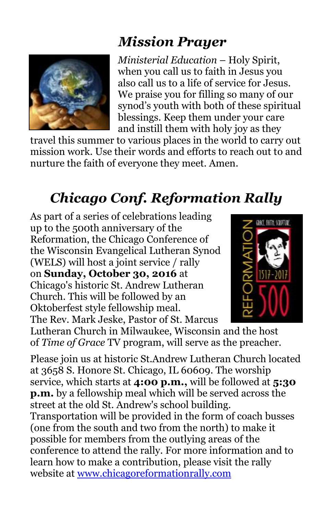# *Mission Prayer*



*Ministerial Education* – Holy Spirit, when you call us to faith in Jesus you also call us to a life of service for Jesus. We praise you for filling so many of our synod's youth with both of these spiritual blessings. Keep them under your care and instill them with holy joy as they

travel this summer to various places in the world to carry out mission work. Use their words and efforts to reach out to and nurture the faith of everyone they meet. Amen.

# *Chicago Conf. Reformation Rally*

As part of a series of celebrations leading up to the 500th anniversary of the Reformation, the Chicago Conference of the Wisconsin Evangelical Lutheran Synod (WELS) will host a joint service / rally on **Sunday, October 30, 2016** at Chicago's historic St. Andrew Lutheran Church. This will be followed by an Oktoberfest style fellowship meal. The Rev. Mark Jeske, Pastor of St. Marcus



Lutheran Church in Milwaukee, Wisconsin and the host of *Time of Grace* TV program, will serve as the preacher.

Please join us at historic St.Andrew Lutheran Church located at 3658 S. Honore St. Chicago, IL 60609. The worship service, which starts at **4:00 p.m.,** will be followed at **5:30 p.m.** by a fellowship meal which will be served across the street at the old St. Andrew's school building. Transportation will be provided in the form of coach busses (one from the south and two from the north) to make it possible for members from the outlying areas of the conference to attend the rally. For more information and to learn how to make a contribution, please visit the rally website at [www.chicagoreformationrally.com](http://newlife-wels.us2.list-manage2.com/track/click?u=2652fb7e265de6ef7aa731a6d&id=ced447d1da&e=fb6ae4dd81)